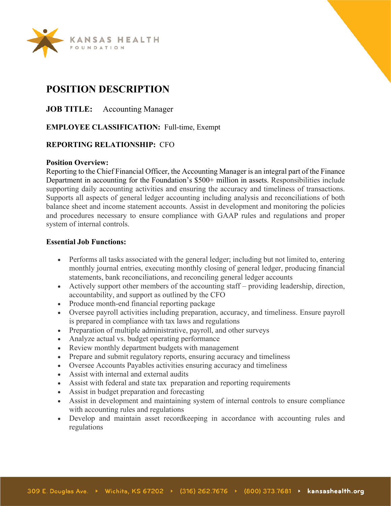

# **POSITION DESCRIPTION**

**JOB TITLE:** Accounting Manager

# **EMPLOYEE CLASSIFICATION:** Full-time, Exempt

# **REPORTING RELATIONSHIP:** CFO

#### **Position Overview:**

Reporting to the Chief Financial Officer, the Accounting Manager is an integral part of the Finance Department in accounting for the Foundation's \$500+ million in assets. Responsibilities include supporting daily accounting activities and ensuring the accuracy and timeliness of transactions. Supports all aspects of general ledger accounting including analysis and reconciliations of both balance sheet and income statement accounts. Assist in development and monitoring the policies and procedures necessary to ensure compliance with GAAP rules and regulations and proper system of internal controls.

#### **Essential Job Functions:**

- Performs all tasks associated with the general ledger; including but not limited to, entering monthly journal entries, executing monthly closing of general ledger, producing financial statements, bank reconciliations, and reconciling general ledger accounts
- Actively support other members of the accounting staff providing leadership, direction, accountability, and support as outlined by the CFO
- Produce month-end financial reporting package
- Oversee payroll activities including preparation, accuracy, and timeliness. Ensure payroll is prepared in compliance with tax laws and regulations
- Preparation of multiple administrative, payroll, and other surveys
- Analyze actual vs. budget operating performance
- Review monthly department budgets with management
- Prepare and submit regulatory reports, ensuring accuracy and timeliness
- Oversee Accounts Payables activities ensuring accuracy and timeliness
- Assist with internal and external audits
- Assist with federal and state tax preparation and reporting requirements
- Assist in budget preparation and forecasting
- Assist in development and maintaining system of internal controls to ensure compliance with accounting rules and regulations
- Develop and maintain asset recordkeeping in accordance with accounting rules and regulations